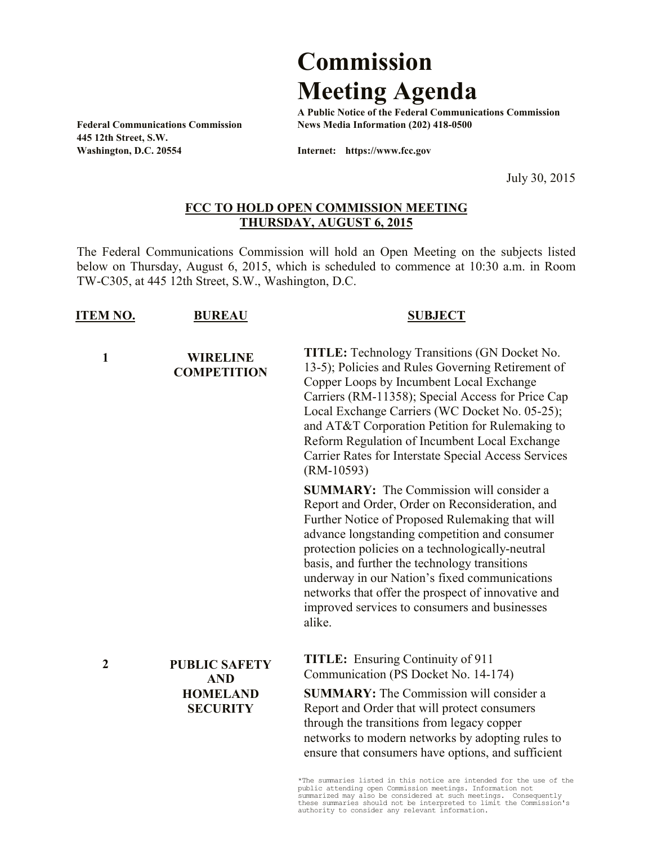## **Commission Meeting Agenda**

**A Public Notice of the Federal Communications Commission Federal Communications Commission News Media Information (202) 418-0500**

**445 12th Street, S.W. Washington, D.C. 20554 Internet: https://www.fcc.gov**

July 30, 2015

## **FCC TO HOLD OPEN COMMISSION MEETING THURSDAY, AUGUST 6, 2015**

The Federal Communications Commission will hold an Open Meeting on the subjects listed below on Thursday, August 6, 2015, which is scheduled to commence at 10:30 a.m. in Room TW-C305, at 445 12th Street, S.W., Washington, D.C.

| <b>ITEM NO.</b>  | <b>BUREAU</b>                                                            | <b>SUBJECT</b>                                                                                                                                                                                                                                                                                                                                                                                                                                                               |
|------------------|--------------------------------------------------------------------------|------------------------------------------------------------------------------------------------------------------------------------------------------------------------------------------------------------------------------------------------------------------------------------------------------------------------------------------------------------------------------------------------------------------------------------------------------------------------------|
| $\mathbf{1}$     | <b>WIRELINE</b><br><b>COMPETITION</b>                                    | <b>TITLE:</b> Technology Transitions (GN Docket No.<br>13-5); Policies and Rules Governing Retirement of<br>Copper Loops by Incumbent Local Exchange<br>Carriers (RM-11358); Special Access for Price Cap<br>Local Exchange Carriers (WC Docket No. 05-25);<br>and AT&T Corporation Petition for Rulemaking to<br>Reform Regulation of Incumbent Local Exchange<br>Carrier Rates for Interstate Special Access Services<br>$(RM-10593)$                                      |
|                  |                                                                          | <b>SUMMARY:</b> The Commission will consider a<br>Report and Order, Order on Reconsideration, and<br>Further Notice of Proposed Rulemaking that will<br>advance longstanding competition and consumer<br>protection policies on a technologically-neutral<br>basis, and further the technology transitions<br>underway in our Nation's fixed communications<br>networks that offer the prospect of innovative and<br>improved services to consumers and businesses<br>alike. |
| $\boldsymbol{2}$ | <b>PUBLIC SAFETY</b><br><b>AND</b><br><b>HOMELAND</b><br><b>SECURITY</b> | <b>TITLE:</b> Ensuring Continuity of 911<br>Communication (PS Docket No. 14-174)                                                                                                                                                                                                                                                                                                                                                                                             |
|                  |                                                                          | <b>SUMMARY:</b> The Commission will consider a<br>Report and Order that will protect consumers<br>through the transitions from legacy copper<br>networks to modern networks by adopting rules to<br>ensure that consumers have options, and sufficient                                                                                                                                                                                                                       |
|                  |                                                                          |                                                                                                                                                                                                                                                                                                                                                                                                                                                                              |

\*The summaries listed in this notice are intended for the use of the public attending open Commission meetings. Information not summarized may also be considered at such meetings. Consequently these summaries should not be interpreted to limit the Commission's authority to consider any relevant information.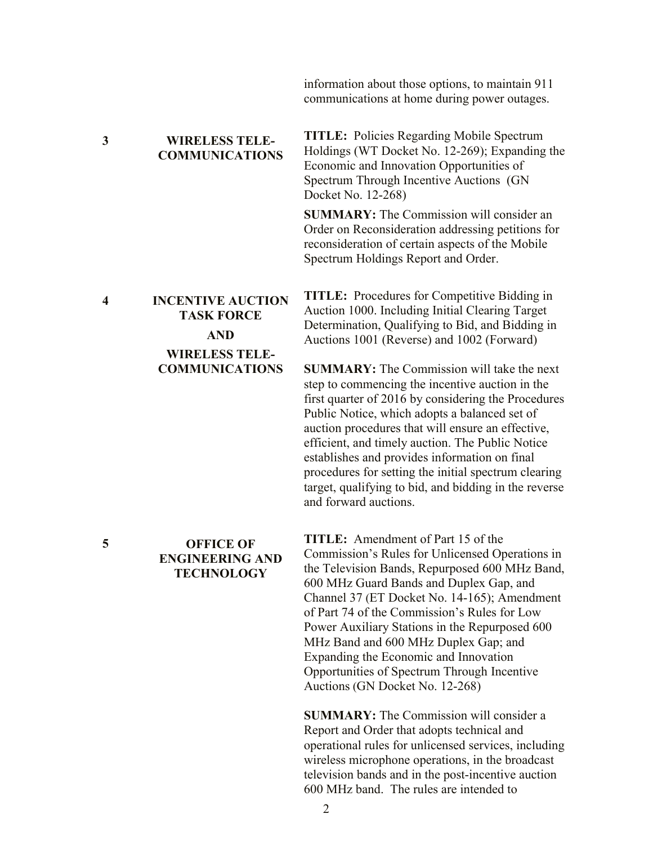information about those options, to maintain 911 communications at home during power outages.

**3 WIRELESS TELE-COMMUNICATIONS**

**TITLE:** Policies Regarding Mobile Spectrum Holdings (WT Docket No. 12-269); Expanding the Economic and Innovation Opportunities of Spectrum Through Incentive Auctions (GN Docket No. 12-268)

**SUMMARY:** The Commission will consider an Order on Reconsideration addressing petitions for reconsideration of certain aspects of the Mobile Spectrum Holdings Report and Order.

**4 INCENTIVE AUCTION TASK FORCE AND WIRELESS TELE-COMMUNICATIONS**

**TITLE:** Procedures for Competitive Bidding in Auction 1000. Including Initial Clearing Target Determination, Qualifying to Bid, and Bidding in Auctions 1001 (Reverse) and 1002 (Forward)

**SUMMARY:** The Commission will take the next step to commencing the incentive auction in the first quarter of 2016 by considering the Procedures Public Notice, which adopts a balanced set of auction procedures that will ensure an effective,

efficient, and timely auction. The Public Notice establishes and provides information on final procedures for setting the initial spectrum clearing target, qualifying to bid, and bidding in the reverse and forward auctions. **TITLE:** Amendment of Part 15 of the

Commission's Rules for Unlicensed Operations in the Television Bands, Repurposed 600 MHz Band, 600 MHz Guard Bands and Duplex Gap, and Channel 37 (ET Docket No. 14-165); Amendment of Part 74 of the Commission's Rules for Low Power Auxiliary Stations in the Repurposed 600 MHz Band and 600 MHz Duplex Gap; and Expanding the Economic and Innovation Opportunities of Spectrum Through Incentive Auctions (GN Docket No. 12-268)

**SUMMARY:** The Commission will consider a Report and Order that adopts technical and operational rules for unlicensed services, including wireless microphone operations, in the broadcast television bands and in the post-incentive auction 600 MHz band. The rules are intended to

## **5 OFFICE OF ENGINEERING AND TECHNOLOGY**

2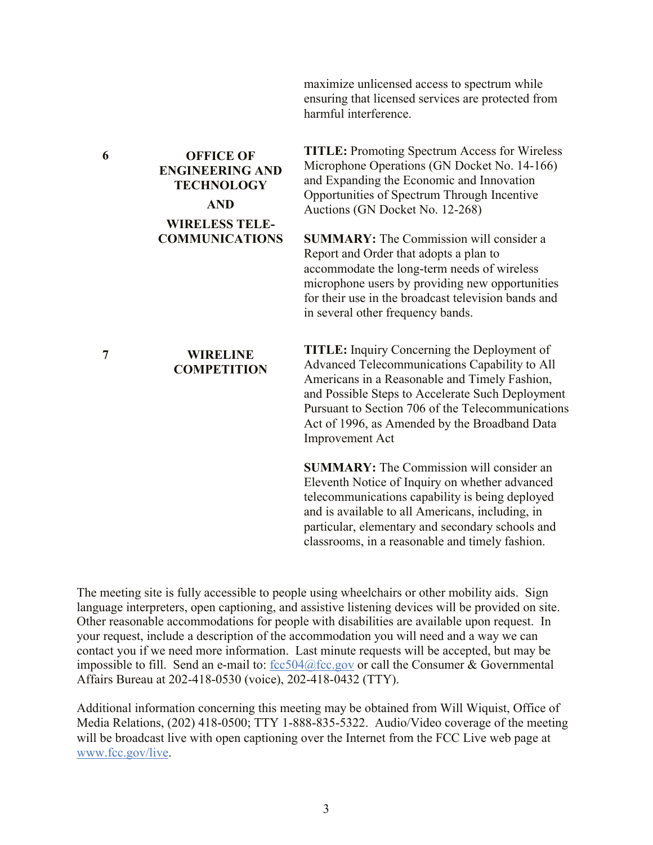maximize unlicensed access to spectrum while ensuring that licensed services are protected from harmful interference.

**TITLE:** Promoting Spectrum Access for Wireless Microphone Operations (GN Docket No. 14-166) and Expanding the Economic and Innovation Opportunities of Spectrum Through Incentive Auctions (GN Docket No. 12-268)

**SUMMARY:** The Commission will consider a Report and Order that adopts a plan to accommodate the long-term needs of wireless microphone users by providing new opportunities for their use in the broadcast television bands and in several other frequency bands.

**TITLE:** Inquiry Concerning the Deployment of Advanced Telecommunications Capability to All Americans in a Reasonable and Timely Fashion, and Possible Steps to Accelerate Such Deployment Pursuant to Section 706 of the Telecommunications Act of 1996, as Amended by the Broadband Data Improvement Act

**SUMMARY:** The Commission will consider an Eleventh Notice of Inquiry on whether advanced telecommunications capability is being deployed and is available to all Americans, including, in particular, elementary and secondary schools and classrooms, in a reasonable and timely fashion.

The meeting site is fully accessible to people using wheelchairs or other mobility aids. Sign language interpreters, open captioning, and assistive listening devices will be provided on site. Other reasonable accommodations for people with disabilities are available upon request. In your request, include a description of the accommodation you will need and a way we can contact you if we need more information. Last minute requests will be accepted, but may be impossible to fill. Send an e-mail to:  $fcc504@$  fcc.gov or call the Consumer & Governmental Affairs Bureau at 202-418-0530 (voice), 202-418-0432 (TTY).

Additional information concerning this meeting may be obtained from Will Wiquist, Office of Media Relations, (202) 418-0500; TTY 1-888-835-5322. Audio/Video coverage of the meeting will be broadcast live with open captioning over the Internet from the FCC Live web page at www.fcc.gov/live.

## **7 WIRELINE COMPETITION**

**ENGINEERING AND TECHNOLOGY AND WIRELESS TELE-COMMUNICATIONS**

**6 OFFICE OF**